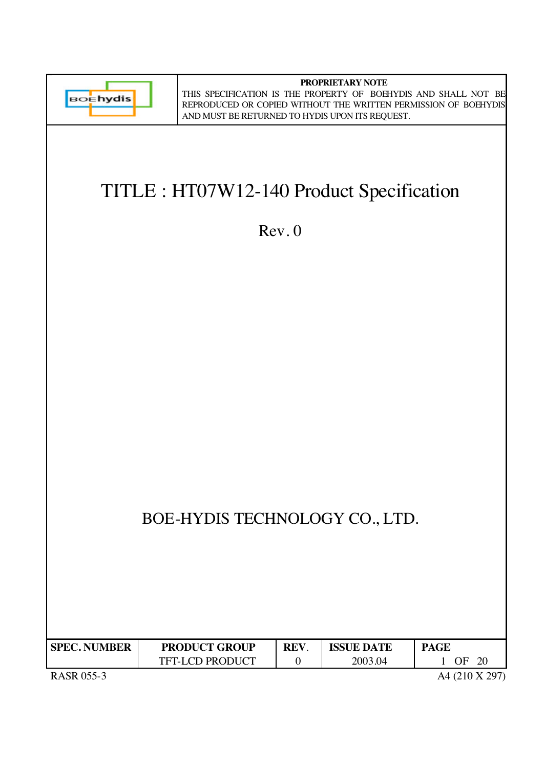

**PROPRIETARY NOTE** THIS SPECIFICATION IS THE PROPERTY OF BOEHYDIS AND SHALL NOT BE REPRODUCED OR COPIED WITHOUT THE WRITTEN PERMISSION OF BOEHYDIS AND MUST BE RETURNED TO HYDIS UPON ITS REQUEST.

# TITLE : HT07W12-140 Product Specification

Rev. 0

# BOE-HYDIS TECHNOLOGY CO., LTD.

| <b>SPEC. NUMBER</b> | <b>PRODUCT GROUP</b>   | <b>REV</b> | <b>ISSUE DATE</b> | <b>PAGE</b> |
|---------------------|------------------------|------------|-------------------|-------------|
|                     | <b>TFT-LCD PRODUCT</b> |            | 2003.04           | 20<br>OΕ    |

RASR 055-3 A4 (210 X 297)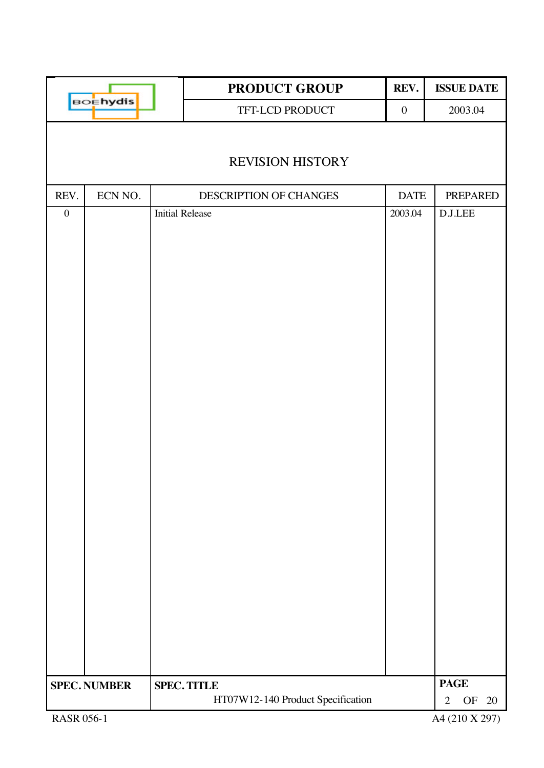|                   |                     |                        | PRODUCT GROUP                     | REV.             | <b>ISSUE DATE</b>                  |
|-------------------|---------------------|------------------------|-----------------------------------|------------------|------------------------------------|
|                   | <b>BOEhydis</b>     |                        | TFT-LCD PRODUCT                   | $\boldsymbol{0}$ | 2003.04                            |
|                   |                     |                        | <b>REVISION HISTORY</b>           |                  |                                    |
| REV.              | ECN NO.             |                        | DESCRIPTION OF CHANGES            | <b>DATE</b>      | <b>PREPARED</b>                    |
| $\boldsymbol{0}$  |                     | <b>Initial Release</b> |                                   | 2003.04          | $\operatorname{D.J.} \! {\rm LEE}$ |
|                   |                     |                        |                                   |                  |                                    |
|                   | <b>SPEC. NUMBER</b> |                        | <b>SPEC. TITLE</b>                |                  | <b>PAGE</b>                        |
|                   |                     |                        | HT07W12-140 Product Specification |                  | OF<br>20<br>$\overline{2}$         |
| <b>RASR 056-1</b> |                     |                        |                                   |                  | A4 (210 X 297)                     |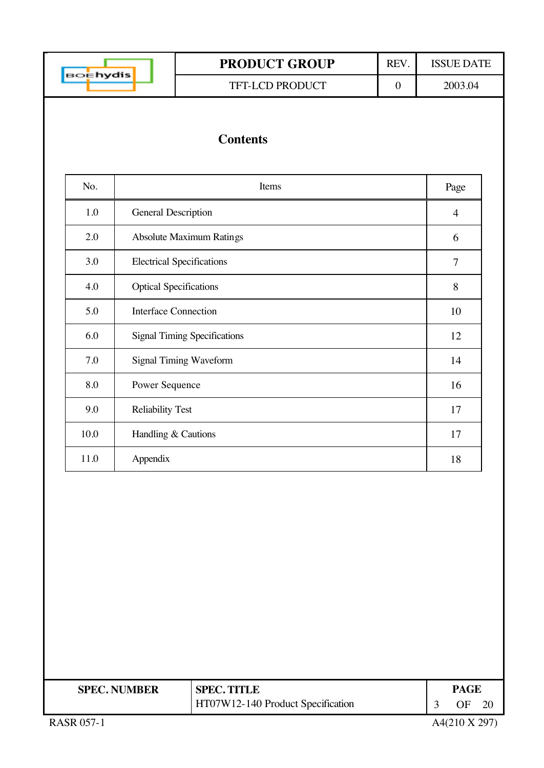| Ehydis |  |
|--------|--|
|        |  |

TFT-LCD PRODUCT 0 2003.04

# **Contents**

| No.  | Items                               | Page           |
|------|-------------------------------------|----------------|
| 1.0  | <b>General Description</b>          | $\overline{4}$ |
| 2.0  | <b>Absolute Maximum Ratings</b>     | 6              |
| 3.0  | <b>Electrical Specifications</b>    | 7              |
| 4.0  | <b>Optical Specifications</b>       | 8              |
| 5.0  | <b>Interface Connection</b>         | 10             |
| 6.0  | <b>Signal Timing Specifications</b> | 12             |
| 7.0  | <b>Signal Timing Waveform</b>       | 14             |
| 8.0  | Power Sequence                      | 16             |
| 9.0  | <b>Reliability Test</b>             | 17             |
| 10.0 | Handling & Cautions                 | 17             |
| 11.0 | Appendix                            | 18             |

| <b>SPEC. NUMBER</b> | <b>SPEC. TITLE</b>                | PAGF |  |
|---------------------|-----------------------------------|------|--|
|                     | HT07W12-140 Product Specification |      |  |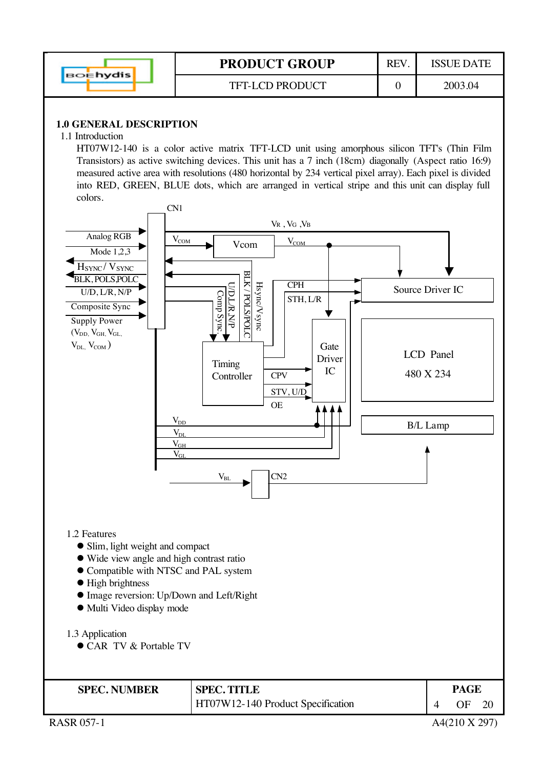|                 | <b>PRODUCT GROUP</b>   | REV | ISSUE DATE |
|-----------------|------------------------|-----|------------|
| <b>BOEhydis</b> | <b>TFT-LCD PRODUCT</b> |     | 2003.04    |

#### **1.0 GENERAL DESCRIPTION**

#### 1.1 Introduction

HT07W12-140 is a color active matrix TFT-LCD unit using amorphous silicon TFT's (Thin Film Transistors) as active switching devices. This unit has a 7 inch (18cm) diagonally (Aspect ratio 16:9) measured active area with resolutions (480 horizontal by 234 vertical pixel array). Each pixel is divided into RED, GREEN, BLUE dots, which are arranged in vertical stripe and this unit can display full colors.



RASR 057-1  $A4(210 \text{ X } 297)$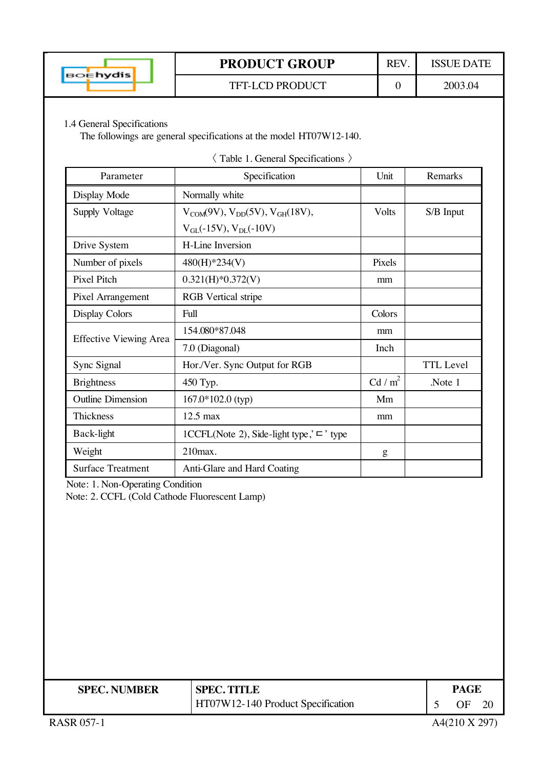

#### TFT-LCD PRODUCT 0 2003.04

1.4 General Specifications

The followings are general specifications at the model HT07W12-140.

| Parameter                     | Specification                                       | Unit                | Remarks          |
|-------------------------------|-----------------------------------------------------|---------------------|------------------|
| Display Mode                  | Normally white                                      |                     |                  |
| <b>Supply Voltage</b>         | $V_{COM}(9V), V_{DD}(5V), V_{GH}(18V),$             | Volts               | S/B Input        |
|                               | $V_{GL}(-15V)$ , $V_{DL}(-10V)$                     |                     |                  |
| Drive System                  | <b>H-Line Inversion</b>                             |                     |                  |
| Number of pixels              | 480(H)*234(V)                                       | Pixels              |                  |
| Pixel Pitch                   | $0.321(H)*0.372(V)$                                 | mm                  |                  |
| Pixel Arrangement             | <b>RGB</b> Vertical stripe                          |                     |                  |
| <b>Display Colors</b>         | Full                                                | Colors              |                  |
|                               | 154.080*87.048                                      | mm                  |                  |
| <b>Effective Viewing Area</b> | 7.0 (Diagonal)                                      | Inch                |                  |
| Sync Signal                   | Hor./Ver. Sync Output for RGB                       |                     | <b>TTL</b> Level |
| <b>Brightness</b>             | 450 Typ.                                            | Cd / m <sup>2</sup> | Note 1           |
| <b>Outline Dimension</b>      | $167.0*102.0$ (typ)                                 | Mm                  |                  |
| Thickness                     | $12.5$ max                                          | mm                  |                  |
| Back-light                    | 1CCFL(Note 2), Side-light type,' $\sqsubset$ ' type |                     |                  |
| Weight                        | $210$ max.                                          | g                   |                  |
| <b>Surface Treatment</b>      | Anti-Glare and Hard Coating                         |                     |                  |

-Table 1. General Specifications

Note: 1. Non-Operating Condition

Note: 2. CCFL (Cold Cathode Fluorescent Lamp)

| <b>SPEC. NUMBER</b> | <b>SPEC. TITLE</b>                | <b>PAGE</b> |    |                |
|---------------------|-----------------------------------|-------------|----|----------------|
|                     | HT07W12-140 Product Specification |             | ЭF | 2 <sub>0</sub> |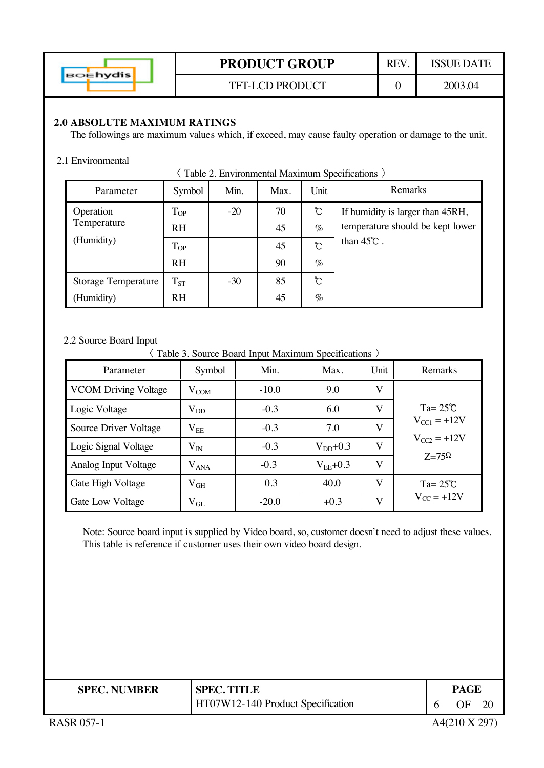| ⊃Ehydis |
|---------|
|---------|

## TFT-LCD PRODUCT 0 2003.04

#### **2.0 ABSOLUTE MAXIMUM RATINGS**

The followings are maximum values which, if exceed, may cause faulty operation or damage to the unit.

#### 2.1 Environmental

| $\langle$ Table 2. Environmental Maximum Specifications $\rangle$ |
|-------------------------------------------------------------------|
|-------------------------------------------------------------------|

| Parameter                  | Symbol    | Min.  | Max. | Unit | Remarks                          |
|----------------------------|-----------|-------|------|------|----------------------------------|
| Operation                  | $T_{OP}$  | $-20$ | 70   | ℃    | If humidity is larger than 45RH, |
| Temperature                | <b>RH</b> |       | 45   | $\%$ | temperature should be kept lower |
| (Humidity)                 | $T_{OP}$  |       | 45   | Ĉ    | than $45^{\circ}$ .              |
|                            | <b>RH</b> |       | 90   | $\%$ |                                  |
| <b>Storage Temperature</b> | $T_{ST}$  | $-30$ | 85   | Ĉ    |                                  |
| (Humidity)                 | <b>RH</b> |       | 45   | $\%$ |                                  |

#### 2.2 Source Board Input

-Table 3. Source Board Input Maximum Specifications

| Parameter                   | Symbol        | Min.    | Max.          | Unit | Remarks            |
|-----------------------------|---------------|---------|---------------|------|--------------------|
| <b>VCOM Driving Voltage</b> | $\rm V_{COM}$ | $-10.0$ | 9.0           | V    |                    |
| Logic Voltage               | $\rm V_{DD}$  | $-0.3$  | 6.0           | V    | $Ta = 25^{\circ}C$ |
| Source Driver Voltage       | $\rm V_{EE}$  | $-0.3$  | 7.0           | V    | $V_{CCl} = +12V$   |
| Logic Signal Voltage        | $\rm V_{IN}$  | $-0.3$  | $V_{DD}$ +0.3 | V    | $V_{C2} = +12V$    |
| Analog Input Voltage        | $\rm V_{ANA}$ | $-0.3$  | $V_{EE}$ +0.3 | V    | $Z=75\Omega$       |
| Gate High Voltage           | $\rm V_{GH}$  | 0.3     | 40.0          | V    | Ta= $25^{\circ}$ C |
| <b>Gate Low Voltage</b>     | $\rm V_{GL}$  | $-20.0$ | $+0.3$        | V    | $V_{CC}$ = +12V    |

Note: Source board input is supplied by Video board, so, customer doesn't need to adjust these values. This table is reference if customer uses their own video board design.

| <b>SPEC. NUMBER</b> | <b>SPEC. TITLE</b>                | <b>PAGE</b> |  |
|---------------------|-----------------------------------|-------------|--|
|                     | HT07W12-140 Product Specification | 20<br>OΕ    |  |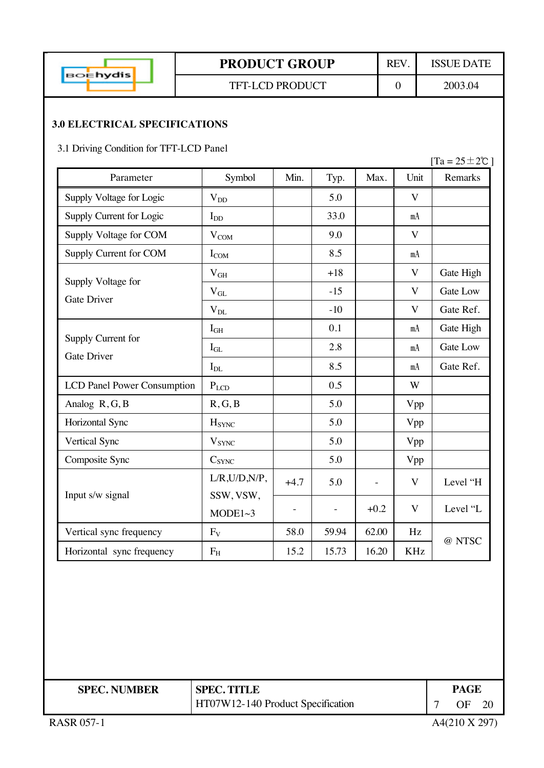

#### TFT-LCD PRODUCT 0 2003.04

#### **3.0 ELECTRICAL SPECIFICATIONS**

3.1 Driving Condition for TFT-LCD Panel

|                                          |                          |        |       |        |                         | $[Ta = 25 \pm 2\degree C]$ |
|------------------------------------------|--------------------------|--------|-------|--------|-------------------------|----------------------------|
| Parameter                                | Symbol                   | Min.   | Typ.  | Max.   | Unit                    | Remarks                    |
| Supply Voltage for Logic                 | $V_{DD}$                 |        | 5.0   |        | $\mathbf{V}$            |                            |
| Supply Current for Logic                 | $I_{DD}$                 |        | 33.0  |        | mA                      |                            |
| Supply Voltage for COM                   | $V_{COM}$                |        | 9.0   |        | $\mathbf{V}$            |                            |
| Supply Current for COM                   | $I_{COM}$                |        | 8.5   |        | mA                      |                            |
| Supply Voltage for                       | $\rm V_{GH}$             |        | $+18$ |        | $\mathbf{V}$            | Gate High                  |
| <b>Gate Driver</b>                       | $\rm V_{GL}$             |        | $-15$ |        | $\overline{\mathbf{V}}$ | <b>Gate Low</b>            |
|                                          | $\rm V_{DL}$             |        | $-10$ |        | $\mathbf{V}$            | Gate Ref.                  |
|                                          | $I_{GH}$                 |        | 0.1   |        | mA                      | Gate High                  |
| Supply Current for<br><b>Gate Driver</b> | $I_{GL}$                 |        | 2.8   |        | mA                      | <b>Gate Low</b>            |
|                                          | $I_{DL}$                 |        | 8.5   |        | mA                      | Gate Ref.                  |
| <b>LCD Panel Power Consumption</b>       | $P_{LCD}$                |        | 0.5   |        | W                       |                            |
| Analog R, G, B                           | R, G, B                  |        | 5.0   |        | Vpp                     |                            |
| Horizontal Sync                          | H <sub>SYNC</sub>        |        | 5.0   |        | Vpp                     |                            |
| Vertical Sync                            | <b>V</b> <sub>SYNC</sub> |        | 5.0   |        | Vpp                     |                            |
| Composite Sync                           | $C_{SYNC}$               |        | 5.0   |        | Vpp                     |                            |
|                                          | $L/R$ , $U/D$ , $N/P$ ,  | $+4.7$ | 5.0   |        | V                       | Level "H                   |
| Input s/w signal                         | SSW, VSW,<br>MODE1~3     |        |       | $+0.2$ | $\overline{\mathbf{V}}$ | Level "L                   |
| Vertical sync frequency                  | $F_V$                    | 58.0   | 59.94 | 62.00  | Hz                      | @ NTSC                     |
| Horizontal sync frequency                | $F_{H}$                  | 15.2   | 15.73 | 16.20  | <b>KHz</b>              |                            |

| <b>SPEC. NUMBER</b> | <b>SPEC. TITLE</b>                | <b>PAGE</b> |  |
|---------------------|-----------------------------------|-------------|--|
|                     | HT07W12-140 Product Specification | ΩE          |  |

RASR 057-1  $A4(210 \text{ X } 297)$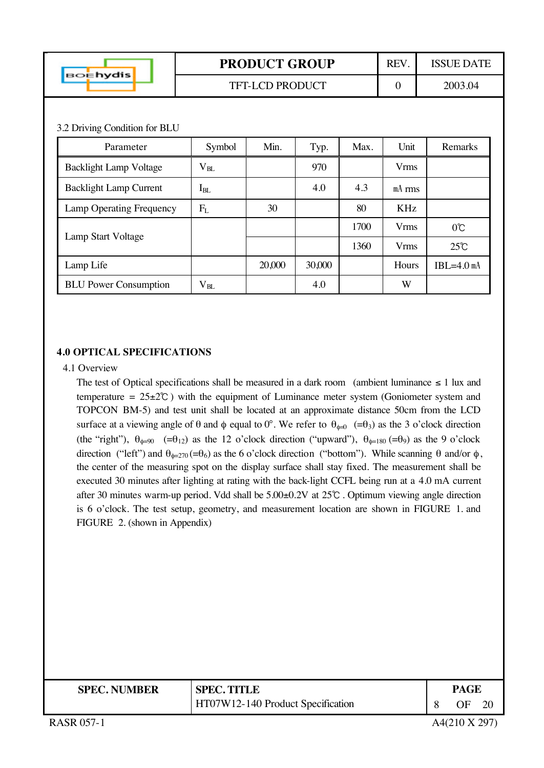| <b>BOEhydis</b>               |              | <b>PRODUCT GROUP</b>   |        | REV. | <b>ISSUE DATE</b> |                |  |  |  |
|-------------------------------|--------------|------------------------|--------|------|-------------------|----------------|--|--|--|
|                               |              | <b>TFT-LCD PRODUCT</b> |        |      | $\mathbf{0}$      | 2003.04        |  |  |  |
|                               |              |                        |        |      |                   |                |  |  |  |
| 3.2 Driving Condition for BLU |              |                        |        |      |                   |                |  |  |  |
| Parameter                     | Symbol       | Min.                   | Typ.   | Max. | Unit              | Remarks        |  |  |  |
| <b>Backlight Lamp Voltage</b> | $\rm V_{BL}$ |                        | 970    |      | <b>Vrms</b>       |                |  |  |  |
| <b>Backlight Lamp Current</b> | $I_{BL}$     |                        | 4.0    | 4.3  | $mA$ rms          |                |  |  |  |
| Lamp Operating Frequency      | $F_{L}$      | 30                     |        | 80   | KHz               |                |  |  |  |
| Lamp Start Voltage            |              |                        |        | 1700 | <b>Vrms</b>       | $0^{\circ}$    |  |  |  |
|                               |              |                        |        | 1360 | <b>Vrms</b>       | $25^{\circ}$ C |  |  |  |
| Lamp Life                     |              | 20,000                 | 30,000 |      | Hours             | $IBL=4.0$ mA   |  |  |  |
| <b>BLU</b> Power Consumption  | $\rm V_{BL}$ |                        | 4.0    |      | W                 |                |  |  |  |

#### **4.0 OPTICAL SPECIFICATIONS**

#### 4.1 Overview

The test of Optical specifications shall be measured in a dark room (ambient luminance  $\leq 1$  lux and temperature  $= 25 \pm 2^{\circ}$ ) with the equipment of Luminance meter system (Goniometer system and TOPCON BM-5) and test unit shall be located at an approximate distance 50cm from the LCD surface at a viewing angle of  $\theta$  and  $\phi$  equal to  $0^{\circ}$ . We refer to  $\theta_{\phi=0}$  (= $\theta_3$ ) as the 3 o'clock direction (the "right"),  $\theta_{\phi=90}$  (= $\theta_{12}$ ) as the 12 o'clock direction ("upward"),  $\theta_{\phi=180}$  (= $\theta_{9}$ ) as the 9 o'clock direction ("left") and  $θ_{\phi=270} (=θ_6)$  as the 6 o'clock direction ("bottom"). While scanning θ and/or φ, the center of the measuring spot on the display surface shall stay fixed. The measurement shall be executed 30 minutes after lighting at rating with the back-light CCFL being run at a 4.0 mA current after 30 minutes warm-up period. Vdd shall be  $5.00\pm0.2V$  at  $25^{\circ}$ . Optimum viewing angle direction is 6 o'clock. The test setup, geometry, and measurement location are shown in FIGURE 1. and FIGURE 2. (shown in Appendix)

| <b>SPEC. NUMBER</b> | <b>SPEC. TITLE</b>                | <b>PAGE</b> |    |
|---------------------|-----------------------------------|-------------|----|
|                     | HT07W12-140 Product Specification | OΕ          | 20 |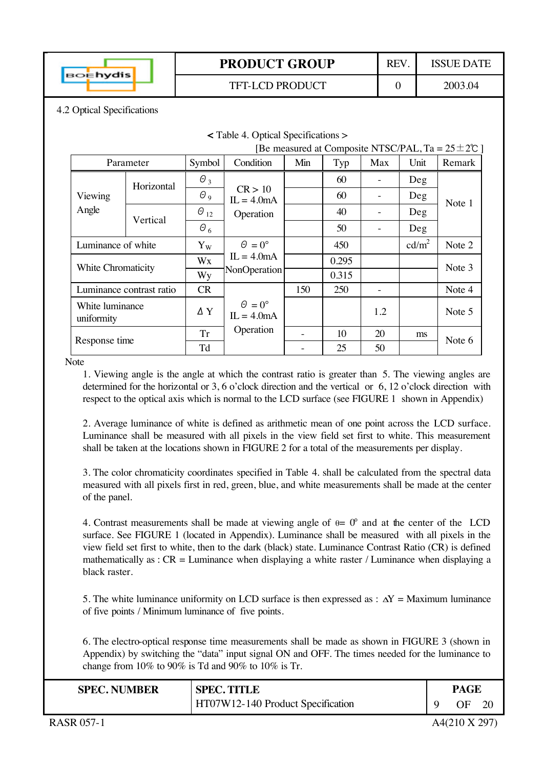

**<** Table 4. Optical Specifications >

TFT-LCD PRODUCT 0 2003.04

4.2 Optical Specifications

| [Be measured at Composite NTSC/PAL, Ta = $25 \pm 20$ ] |                          |               |                                      |     |       |     |                   |        |  |
|--------------------------------------------------------|--------------------------|---------------|--------------------------------------|-----|-------|-----|-------------------|--------|--|
|                                                        | Parameter                | Symbol        | Condition                            | Min | Typ   | Max | Unit              | Remark |  |
|                                                        | Horizontal               | $\theta_3$    |                                      |     | 60    |     | Deg               |        |  |
| Viewing                                                |                          | $\theta$ 9    | CR > 10<br>$IL = 4.0mA$              |     | 60    |     | Deg               | Note 1 |  |
| Angle                                                  |                          | $\Theta_{12}$ | Operation                            |     | 40    |     | Deg               |        |  |
|                                                        | Vertical                 | $\theta_6$    |                                      |     | 50    |     | Deg               |        |  |
| Luminance of white                                     |                          | $Y_W$         | $\Theta = 0^{\circ}$                 |     | 450   |     | cd/m <sup>2</sup> | Note 2 |  |
| White Chromaticity                                     |                          | Wx            | $IL = 4.0mA$                         |     | 0.295 |     |                   | Note 3 |  |
|                                                        |                          | Wy            | NonOperation                         |     | 0.315 |     |                   |        |  |
|                                                        | Luminance contrast ratio | CR            |                                      | 150 | 250   |     |                   | Note 4 |  |
| White luminance<br>uniformity                          |                          | $\Delta$ Y    | $\Theta = 0^{\circ}$<br>$IL = 4.0mA$ |     |       | 1.2 |                   | Note 5 |  |
| Response time                                          |                          | <b>Tr</b>     | Operation                            |     | 10    | 20  | ms                |        |  |
|                                                        |                          | Td            |                                      |     | 25    | 50  |                   | Note 6 |  |

**Note** 

1. Viewing angle is the angle at which the contrast ratio is greater than 5. The viewing angles are determined for the horizontal or 3, 6 o'clock direction and the vertical or 6, 12 o'clock direction with respect to the optical axis which is normal to the LCD surface (see FIGURE 1 shown in Appendix)

2. Average luminance of white is defined as arithmetic mean of one point across the LCD surface. Luminance shall be measured with all pixels in the view field set first to white. This measurement shall be taken at the locations shown in FIGURE 2 for a total of the measurements per display.

3. The color chromaticity coordinates specified in Table 4. shall be calculated from the spectral data measured with all pixels first in red, green, blue, and white measurements shall be made at the center of the panel.

4. Contrast measurements shall be made at viewing angle of  $\theta = 0^{\circ}$  and at the center of the LCD surface. See FIGURE 1 (located in Appendix). Luminance shall be measured with all pixels in the view field set first to white, then to the dark (black) state. Luminance Contrast Ratio (CR) is defined mathematically as :  $CR =$  Luminance when displaying a white raster / Luminance when displaying a black raster.

5. The white luminance uniformity on LCD surface is then expressed as :  $\Delta Y =$  Maximum luminance of five points / Minimum luminance of five points.

6. The electro-optical response time measurements shall be made as shown in FIGURE 3 (shown in Appendix) by switching the "data" input signal ON and OFF. The times needed for the luminance to change from 10% to 90% is Td and 90% to 10% is Tr.

| <b>SPEC. NUMBER</b> | <b>SPEC. TITLE</b>                | PAGE |  |
|---------------------|-----------------------------------|------|--|
|                     | HT07W12-140 Product Specification | ΩF   |  |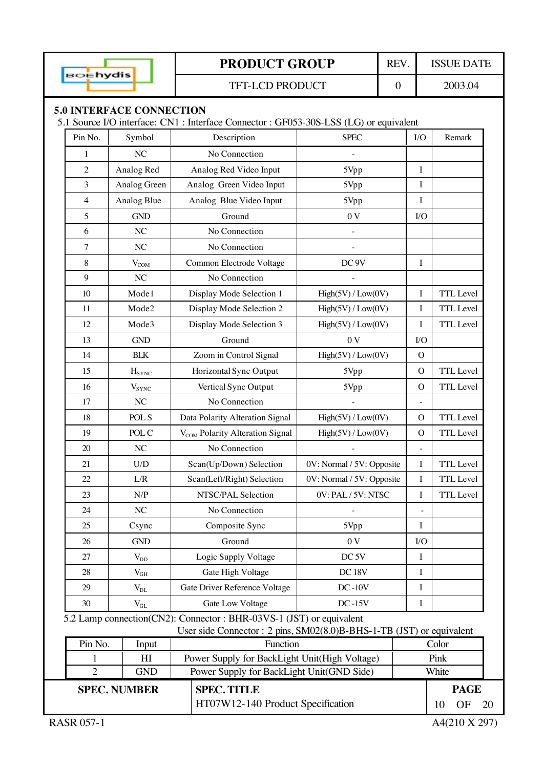| вo <mark>∈hydis</mark>                                                                 |                                                          |  | <b>PRODUCT GROUP</b>                                                                       |                           | REV. |                | <b>ISSUE DATE</b> |    |
|----------------------------------------------------------------------------------------|----------------------------------------------------------|--|--------------------------------------------------------------------------------------------|---------------------------|------|----------------|-------------------|----|
|                                                                                        |                                                          |  | 2003.04<br><b>TFT-LCD PRODUCT</b><br>$\boldsymbol{0}$                                      |                           |      |                |                   |    |
|                                                                                        | <b>5.0 INTERFACE CONNECTION</b>                          |  |                                                                                            |                           |      |                |                   |    |
| 5.1 Source I/O interface: CN1 : Interface Connector : GF053-30S-LSS (LG) or equivalent |                                                          |  |                                                                                            |                           |      |                |                   |    |
| Pin No.                                                                                | Symbol                                                   |  | Description                                                                                | <b>SPEC</b>               |      | I/O            | Remark            |    |
| 1                                                                                      | $\rm NC$                                                 |  | No Connection                                                                              |                           |      |                |                   |    |
| $\overline{c}$                                                                         | Analog Red                                               |  | Analog Red Video Input                                                                     | 5Vpp                      |      | $\bf{I}$       |                   |    |
| 3                                                                                      | Analog Green                                             |  | Analog Green Video Input                                                                   | 5Vpp                      |      | $\bf{I}$       |                   |    |
| $\overline{4}$                                                                         | Analog Blue                                              |  | Analog Blue Video Input                                                                    | 5Vpp                      |      | I              |                   |    |
| 5                                                                                      | <b>GND</b>                                               |  | Ground                                                                                     | 0V                        |      | $1/O$          |                   |    |
| 6                                                                                      | NC                                                       |  | No Connection                                                                              | $\overline{\phantom{a}}$  |      |                |                   |    |
| 7                                                                                      | NC                                                       |  | No Connection                                                                              |                           |      |                |                   |    |
| 8                                                                                      | $V_{COM}$                                                |  | Common Electrode Voltage                                                                   | DC <sub>9V</sub>          |      | I              |                   |    |
| 9                                                                                      | NC                                                       |  | No Connection                                                                              |                           |      |                |                   |    |
| 10                                                                                     | Mode1                                                    |  | Display Mode Selection 1                                                                   | High(5V) / Low(0V)        |      | I              | <b>TTL</b> Level  |    |
| 11                                                                                     | Mode2                                                    |  | Display Mode Selection 2                                                                   | High(5V)/Low(0V)          |      | I              | <b>TTL</b> Level  |    |
| 12                                                                                     | Mode3                                                    |  | Display Mode Selection 3                                                                   | High(5V) / Low(0V)        |      | I              | <b>TTL</b> Level  |    |
| 13                                                                                     | <b>GND</b>                                               |  | Ground                                                                                     | 0V                        |      | $VO$           |                   |    |
| 14                                                                                     | <b>BLK</b>                                               |  | Zoom in Control Signal                                                                     | High(5V) / Low(0V)        |      | $\overline{O}$ |                   |    |
| 15                                                                                     | $H_{SYNC}$                                               |  | Horizontal Sync Output                                                                     | 5Vpp                      |      | $\Omega$       | TTL Level         |    |
| 16                                                                                     | $V_{SYNC}$                                               |  | Vertical Sync Output                                                                       | 5Vpp                      |      | $\Omega$       | <b>TTL</b> Level  |    |
| 17                                                                                     | NC                                                       |  | No Connection                                                                              |                           |      | $\equiv$       |                   |    |
| 18                                                                                     | POL S                                                    |  | Data Polarity Alteration Signal                                                            | High(5V) / Low(0V)        |      | $\mathbf{O}$   | <b>TTL</b> Level  |    |
| 19                                                                                     | POL C                                                    |  | V <sub>COM</sub> Polarity Alteration Signal                                                | High(5V) / Low(0V)        |      | $\Omega$       | <b>TTL</b> Level  |    |
| 20                                                                                     | $\rm NC$                                                 |  | No Connection                                                                              |                           |      |                |                   |    |
| 21                                                                                     | $\ensuremath{\mathrm{U}}\xspace/\ensuremath{\mathrm{D}}$ |  | Scan(Up/Down) Selection                                                                    | 0V: Normal / 5V: Opposite |      | $\mathbf I$    | TTL Level         |    |
| 22                                                                                     | L/R                                                      |  | Scan(Left/Right) Selection                                                                 | 0V: Normal / 5V: Opposite |      | I              | TTL Level         |    |
| 23                                                                                     | N/P                                                      |  | NTSC/PAL Selection                                                                         | 0V: PAL / 5V: NTSC        |      | I              | <b>TTL</b> Level  |    |
| 24                                                                                     | $\rm NC$                                                 |  | No Connection                                                                              |                           |      |                |                   |    |
| 25                                                                                     | Csync                                                    |  | Composite Sync                                                                             | 5Vpp                      |      | I              |                   |    |
| 26                                                                                     | $\mbox{GND}$                                             |  | Ground                                                                                     | 0V                        |      | $VO$           |                   |    |
| 27                                                                                     | $V_{DD}$                                                 |  | Logic Supply Voltage                                                                       | DC <sub>5V</sub>          |      | I              |                   |    |
| 28                                                                                     | $V_{GH}$                                                 |  | Gate High Voltage                                                                          | DC 18V                    |      | I              |                   |    |
| 29                                                                                     | $V_{DL}$                                                 |  | Gate Driver Reference Voltage                                                              | $DC-10V$                  |      | I              |                   |    |
| 30                                                                                     | $V_{GL}$                                                 |  | Gate Low Voltage                                                                           | $DC-15V$                  |      | I              |                   |    |
|                                                                                        |                                                          |  | 5.2 Lamp connection(CN2): Connector : BHR-03VS-1 (JST) or equivalent                       |                           |      |                |                   |    |
|                                                                                        |                                                          |  | User side Connector : 2 pins, SM02(8.0)B-BHS-1-TB (JST) or equivalent                      |                           |      |                |                   |    |
| Pin No.                                                                                | Input                                                    |  | Function                                                                                   |                           |      |                | Color             |    |
| $\overline{2}$                                                                         | HI<br><b>GND</b>                                         |  | Power Supply for BackLight Unit(High Voltage)<br>Power Supply for BackLight Unit(GND Side) |                           |      |                | Pink<br>White     |    |
|                                                                                        |                                                          |  |                                                                                            |                           |      |                |                   |    |
|                                                                                        | <b>SPEC. NUMBER</b>                                      |  | <b>SPEC. TITLE</b><br>HT07W12-140 Product Specification                                    |                           |      |                | <b>PAGE</b>       |    |
|                                                                                        |                                                          |  |                                                                                            |                           |      |                | OF<br>10          | 20 |
| <b>RASR 057-1</b>                                                                      |                                                          |  |                                                                                            |                           |      |                | A4(210 X 297)     |    |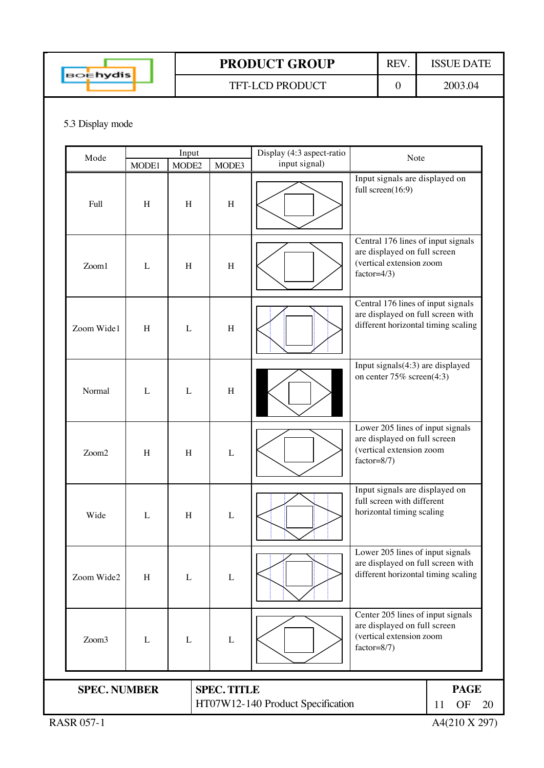

TFT-LCD PRODUCT 0 2003.04

#### 5.3 Display mode

| Mode                |       | Input |                                   | Display (4:3 aspect-ratio<br>Note |                                                                                                                |  |  |
|---------------------|-------|-------|-----------------------------------|-----------------------------------|----------------------------------------------------------------------------------------------------------------|--|--|
|                     | MODE1 | MODE2 | MODE3                             | input signal)                     |                                                                                                                |  |  |
| Full                | H     | H     | $\boldsymbol{\mathrm{H}}$         |                                   | Input signals are displayed on<br>full screen(16:9)                                                            |  |  |
| Zoom1               | L     | H     | $\boldsymbol{\mathrm{H}}$         |                                   | Central 176 lines of input signals<br>are displayed on full screen<br>(vertical extension zoom<br>$factor=4/3$ |  |  |
| Zoom Wide1          | H     | L     | $\boldsymbol{\mathrm{H}}$         |                                   | Central 176 lines of input signals<br>are displayed on full screen with<br>different horizontal timing scaling |  |  |
| Normal              | L     | L     | $\boldsymbol{\mathrm{H}}$         |                                   | Input signals(4:3) are displayed<br>on center 75% screen(4:3)                                                  |  |  |
| Zoom2               | H     | H     | $\mathbf{L}$                      |                                   | Lower 205 lines of input signals<br>are displayed on full screen<br>(vertical extension zoom<br>$factor=8/7)$  |  |  |
| Wide                | L     | H     | $\mathbf L$                       |                                   | Input signals are displayed on<br>full screen with different<br>horizontal timing scaling                      |  |  |
| Zoom Wide2          | H     | L     | L                                 |                                   | Lower 205 lines of input signals<br>are displayed on full screen with<br>different horizontal timing scaling   |  |  |
| Zoom3               | L     | L     | $\mathbf L$                       |                                   | Center 205 lines of input signals<br>are displayed on full screen<br>(vertical extension zoom<br>$factor=8/7)$ |  |  |
|                     |       |       |                                   |                                   |                                                                                                                |  |  |
| <b>SPEC. NUMBER</b> |       |       | <b>SPEC. TITLE</b>                |                                   | <b>PAGE</b>                                                                                                    |  |  |
|                     |       |       | HT07W12-140 Product Specification | OF<br>20<br>11                    |                                                                                                                |  |  |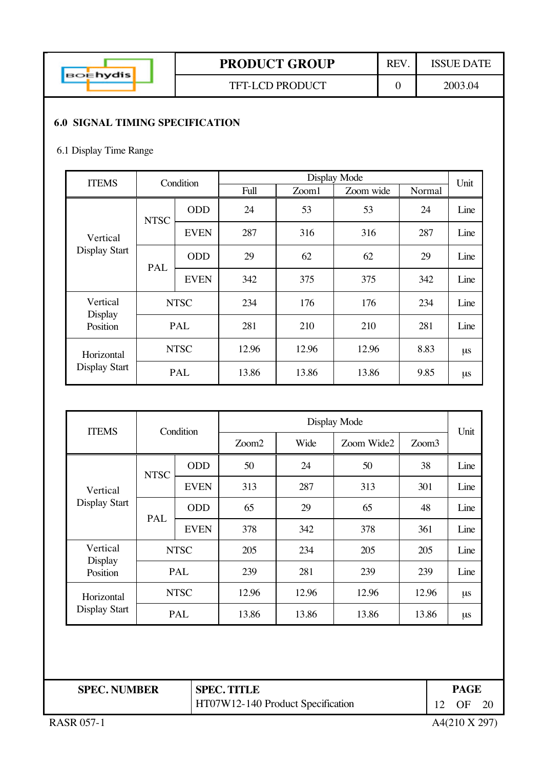| <b>Ehydis</b> |  |
|---------------|--|
|               |  |

#### **6.0 SIGNAL TIMING SPECIFICATION**

#### 6.1 Display Time Range

| <b>ITEMS</b>         | Condition   |             |       | Display Mode |           |        |      |  |  |
|----------------------|-------------|-------------|-------|--------------|-----------|--------|------|--|--|
|                      |             |             | Full  | Zoom1        | Zoom wide | Normal | Unit |  |  |
|                      | <b>NTSC</b> | <b>ODD</b>  | 24    | 53           | 53        | 24     | Line |  |  |
| Vertical             |             | <b>EVEN</b> | 287   | 316          | 316       | 287    | Line |  |  |
| <b>Display Start</b> | PAL         | <b>ODD</b>  | 29    | 62           | 62        | 29     | Line |  |  |
|                      |             | <b>EVEN</b> | 342   | 375          | 375       | 342    | Line |  |  |
| Vertical<br>Display  | <b>NTSC</b> |             | 234   | 176          | 176       | 234    | Line |  |  |
| Position             |             | PAL         | 281   | 210          | 210       | 281    | Line |  |  |
| Horizontal           |             | <b>NTSC</b> | 12.96 | 12.96        | 12.96     | 8.83   | μs   |  |  |
| <b>Display Start</b> |             | PAL         | 13.86 | 13.86        | 13.86     | 9.85   | μs   |  |  |

| <b>ITEMS</b>               | Condition   |             |       |       | Unit       |                   |         |
|----------------------------|-------------|-------------|-------|-------|------------|-------------------|---------|
|                            |             |             | Zoom2 | Wide  | Zoom Wide2 | Zoom <sub>3</sub> |         |
|                            | <b>NTSC</b> | <b>ODD</b>  | 50    | 24    | 50         | 38                | Line    |
| Vertical                   |             | <b>EVEN</b> | 313   | 287   | 313        | 301               | Line    |
| Display Start              | PAL         | <b>ODD</b>  | 65    | 29    | 65         | 48                | Line    |
|                            |             | <b>EVEN</b> | 378   | 342   | 378        | 361               | Line    |
| Vertical                   |             | <b>NTSC</b> | 205   | 234   | 205        | 205               | Line    |
| <b>Display</b><br>Position | PAL         |             | 239   | 281   | 239        | 239               | Line    |
| Horizontal                 |             | <b>NTSC</b> | 12.96 | 12.96 | 12.96      | 12.96             | $\mu$ s |
| Display Start              |             | PAL         | 13.86 | 13.86 | 13.86      | 13.86             | μs      |

| <b>SPEC. NUMBER</b> | <b>SPEC. TITLE</b>                | PAGE          |      |
|---------------------|-----------------------------------|---------------|------|
|                     | HT07W12-140 Product Specification | OF            | - 20 |
| <b>RASR 057-1</b>   |                                   | A4(210 X 297) |      |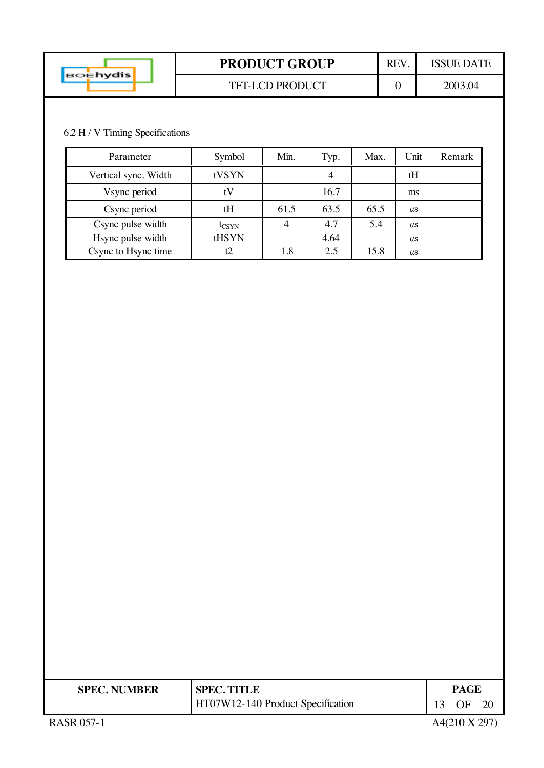|                 | <b>PRODUCT GROUP</b>   | REV | ISSUE DATE |
|-----------------|------------------------|-----|------------|
| <b>BOEhydis</b> | <b>TFT-LCD PRODUCT</b> |     | 2003.04    |

## 6.2 H / V Timing Specifications

| Parameter            | Symbol         | Min. | Typ. | Max. | Unit      | Remark |
|----------------------|----------------|------|------|------|-----------|--------|
| Vertical sync. Width | tVSYN          |      | 4    |      | tH        |        |
| Vsync period         |                |      | 16.7 |      | ms        |        |
| Csync period         | tH             | 61.5 | 63.5 | 65.5 | $\mu$ s   |        |
| Csync pulse width    | $t_{\rm CSYN}$ |      | 4.7  | 5.4  | <b>US</b> |        |
| Hsync pulse width    | tHSYN          |      | 4.64 |      | $\mu$ s   |        |
| Csync to Hsync time  |                | 1.8  | 2.5  | 15.8 | $\mu$ s   |        |

| <b>SPEC. NUMBER</b> | <b>SPEC. TITLE</b>                |    | PAGE       |  |  |
|---------------------|-----------------------------------|----|------------|--|--|
|                     | HT07W12-140 Product Specification | 13 | $\Omega$ F |  |  |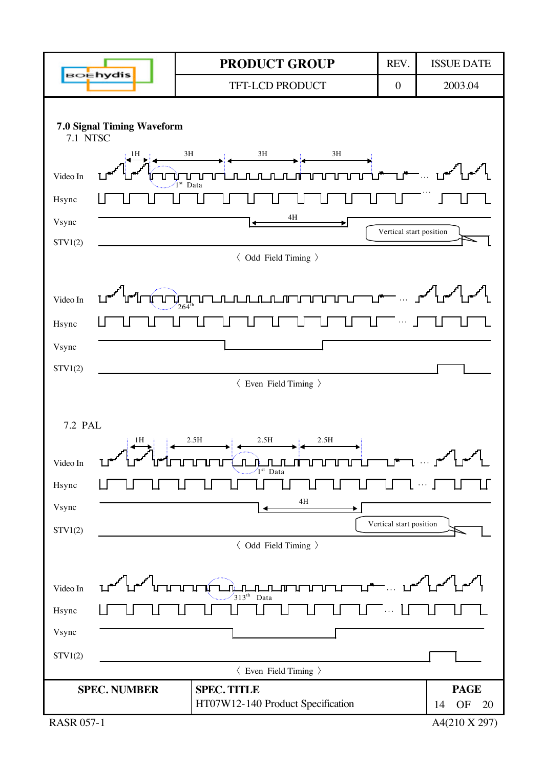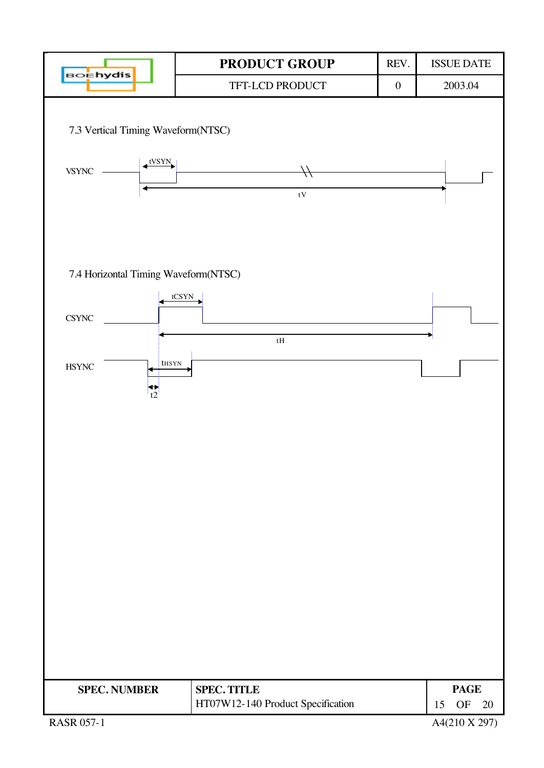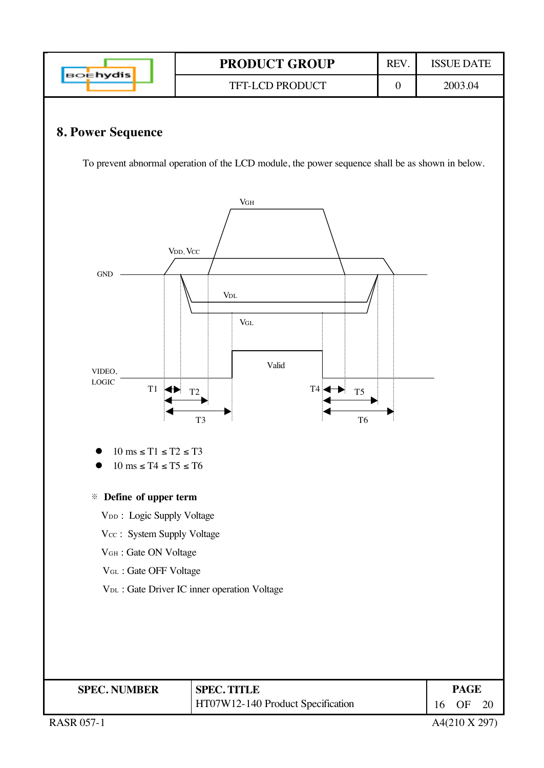

RASR 057-1  $A4(210 \text{ X } 297)$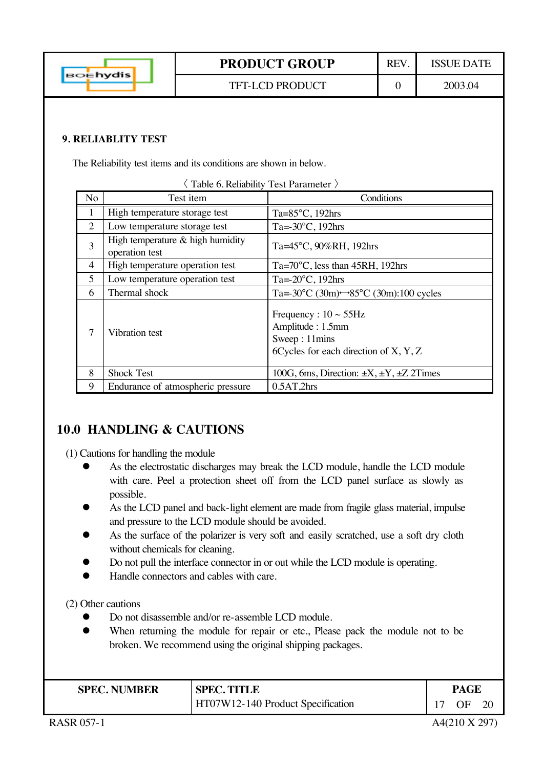|                 | <b>PRODUCT GROUP</b>   | RE' | ISSUE DATE |
|-----------------|------------------------|-----|------------|
| <b>BOEhydis</b> | <b>TFT-LCD PRODUCT</b> |     | 2003.04    |

#### **9. RELIABLITY TEST**

The Reliability test items and its conditions are shown in below.

|                | Table 6. Reliability Test Parameter >                |                                                                                                              |  |  |  |  |  |
|----------------|------------------------------------------------------|--------------------------------------------------------------------------------------------------------------|--|--|--|--|--|
| No             | Test item                                            | Conditions                                                                                                   |  |  |  |  |  |
| 1              | High temperature storage test                        | Ta= $85^{\circ}$ C, 192hrs                                                                                   |  |  |  |  |  |
| $\overline{2}$ | Low temperature storage test                         | Ta= $-30^{\circ}$ C, 192hrs                                                                                  |  |  |  |  |  |
| 3              | High temperature $&$ high humidity<br>operation test | Ta=45°C, 90%RH, 192hrs                                                                                       |  |  |  |  |  |
| 4              | High temperature operation test                      | $Ta = 70^{\circ}$ C, less than 45RH, 192hrs                                                                  |  |  |  |  |  |
| 5              | Low temperature operation test                       | Ta= $-20^{\circ}$ C, 192hrs                                                                                  |  |  |  |  |  |
| 6              | Thermal shock                                        | Ta=-30 $^{\circ}$ C (30m) $\leftrightarrow$ 85 $^{\circ}$ C (30m):100 cycles                                 |  |  |  |  |  |
| 7              | Vibration test                                       | Frequency : $10 \sim 55$ Hz<br>Amplitude: 1.5mm<br>Sweep: 11mins<br>6 Cycles for each direction of $X, Y, Z$ |  |  |  |  |  |
| 8              | <b>Shock Test</b>                                    | 100G, 6ms, Direction: $\pm X$ , $\pm Y$ , $\pm Z$ 2Times                                                     |  |  |  |  |  |
| 9              | Endurance of atmospheric pressure                    | 0.5AT,2hrs                                                                                                   |  |  |  |  |  |

### **10.0 HANDLING & CAUTIONS**

(1) Cautions for handling the module

- As the electrostatic discharges may break the LCD module, handle the LCD module with care. Peel a protection sheet off from the LCD panel surface as slowly as possible.
- As the LCD panel and back-light element are made from fragile glass material, impulse and pressure to the LCD module should be avoided.
- As the surface of the polarizer is very soft and easily scratched, use a soft dry cloth without chemicals for cleaning.
- Do not pull the interface connector in or out while the LCD module is operating.
- Handle connectors and cables with care.

(2) Other cautions

- Do not disassemble and/or re-assemble LCD module.
- When returning the module for repair or etc., Please pack the module not to be broken. We recommend using the original shipping packages.

| <b>SPEC. NUMBER</b> | <b>SPEC. TITLE</b>                | <b>PAGE</b>     |  |  |
|---------------------|-----------------------------------|-----------------|--|--|
|                     | HT07W12-140 Product Specification | 17<br><b>OF</b> |  |  |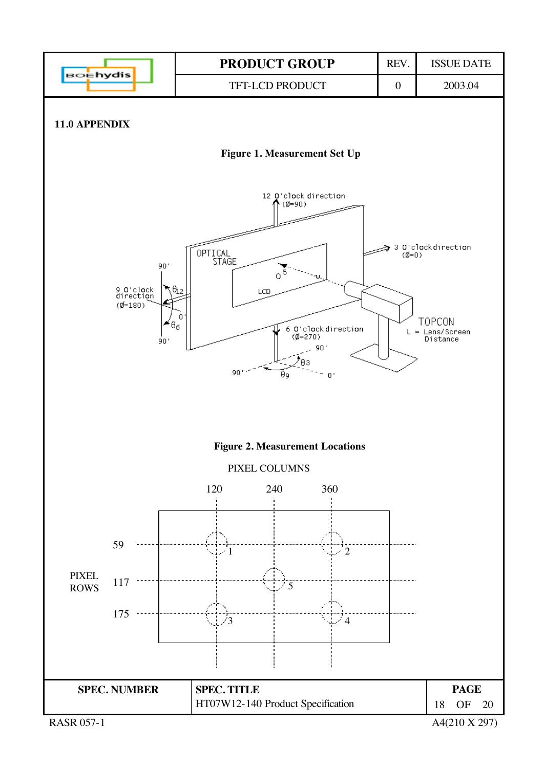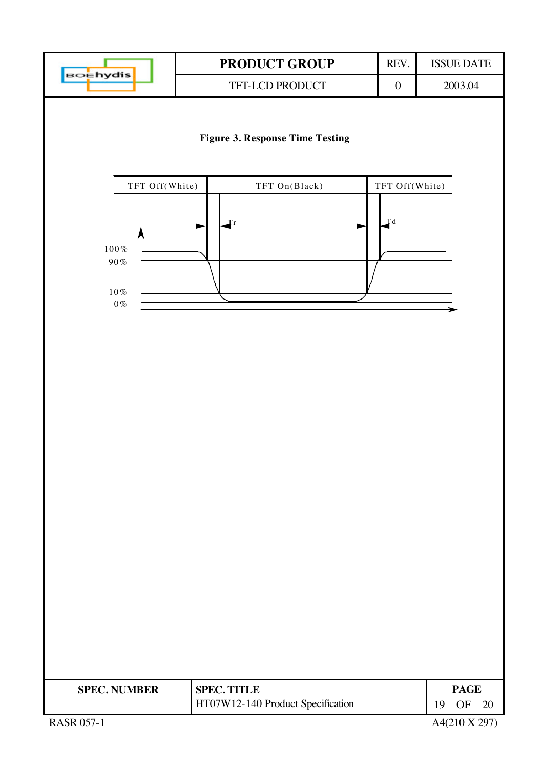